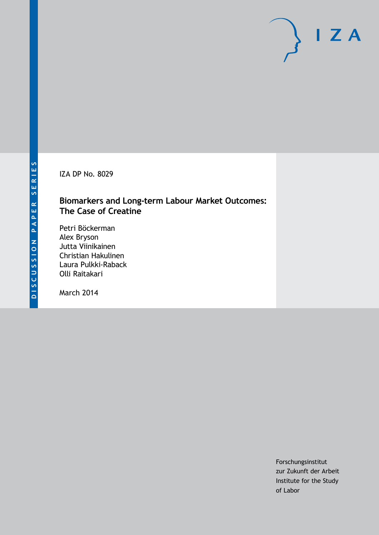IZA DP No. 8029

### **Biomarkers and Long-term Labour Market Outcomes: The Case of Creatine**

Petri Böckerman Alex Bryson Jutta Viinikainen Christian Hakulinen Laura Pulkki-Raback Olli Raitakari

March 2014

Forschungsinstitut zur Zukunft der Arbeit Institute for the Study of Labor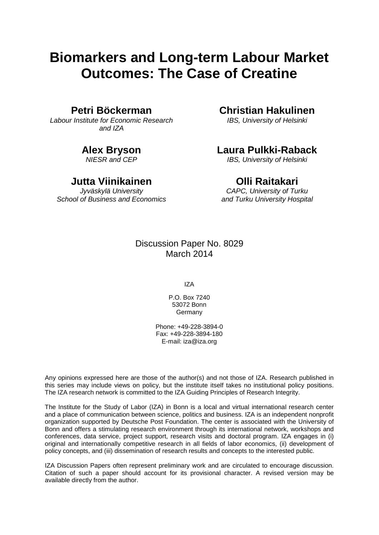# **Biomarkers and Long-term Labour Market Outcomes: The Case of Creatine**

### **Petri Böckerman**

*Labour Institute for Economic Research and IZA*

### **Alex Bryson**

*NIESR and CEP*

### **Jutta Viinikainen**

*Jyväskylä University School of Business and Economics*

### **Christian Hakulinen**

*IBS, University of Helsinki*

### **Laura Pulkki-Raback**

*IBS, University of Helsinki*

### **Olli Raitakari**

*CAPC, University of Turku and Turku University Hospital*

### Discussion Paper No. 8029 March 2014

IZA

P.O. Box 7240 53072 Bonn **Germany** 

Phone: +49-228-3894-0 Fax: +49-228-3894-180 E-mail: [iza@iza.org](mailto:iza@iza.org)

Any opinions expressed here are those of the author(s) and not those of IZA. Research published in this series may include views on policy, but the institute itself takes no institutional policy positions. The IZA research network is committed to the IZA Guiding Principles of Research Integrity.

The Institute for the Study of Labor (IZA) in Bonn is a local and virtual international research center and a place of communication between science, politics and business. IZA is an independent nonprofit organization supported by Deutsche Post Foundation. The center is associated with the University of Bonn and offers a stimulating research environment through its international network, workshops and conferences, data service, project support, research visits and doctoral program. IZA engages in (i) original and internationally competitive research in all fields of labor economics, (ii) development of policy concepts, and (iii) dissemination of research results and concepts to the interested public.

<span id="page-1-0"></span>IZA Discussion Papers often represent preliminary work and are circulated to encourage discussion. Citation of such a paper should account for its provisional character. A revised version may be available directly from the author.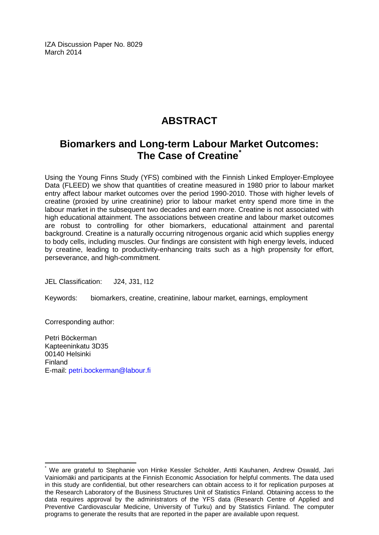IZA Discussion Paper No. 8029 March 2014

# **ABSTRACT**

## **Biomarkers and Long-term Labour Market Outcomes: The Case of Creatine[\\*](#page-1-0)**

Using the Young Finns Study (YFS) combined with the Finnish Linked Employer-Employee Data (FLEED) we show that quantities of creatine measured in 1980 prior to labour market entry affect labour market outcomes over the period 1990-2010. Those with higher levels of creatine (proxied by urine creatinine) prior to labour market entry spend more time in the labour market in the subsequent two decades and earn more. Creatine is not associated with high educational attainment. The associations between creatine and labour market outcomes are robust to controlling for other biomarkers, educational attainment and parental background. Creatine is a naturally occurring nitrogenous organic acid which supplies energy to body cells, including muscles. Our findings are consistent with high energy levels, induced by creatine, leading to productivity-enhancing traits such as a high propensity for effort, perseverance, and high-commitment.

JEL Classification: J24, J31, I12

Keywords: biomarkers, creatine, creatinine, labour market, earnings, employment

Corresponding author:

Petri Böckerman Kapteeninkatu 3D35 00140 Helsinki Finland E-mail: [petri.bockerman@labour.fi](mailto:petri.bockerman@labour.fi)

We are grateful to Stephanie von Hinke Kessler Scholder, Antti Kauhanen, Andrew Oswald, Jari Vainiomäki and participants at the Finnish Economic Association for helpful comments. The data used in this study are confidential, but other researchers can obtain access to it for replication purposes at the Research Laboratory of the Business Structures Unit of Statistics Finland. Obtaining access to the data requires approval by the administrators of the YFS data (Research Centre of Applied and Preventive Cardiovascular Medicine, University of Turku) and by Statistics Finland. The computer programs to generate the results that are reported in the paper are available upon request.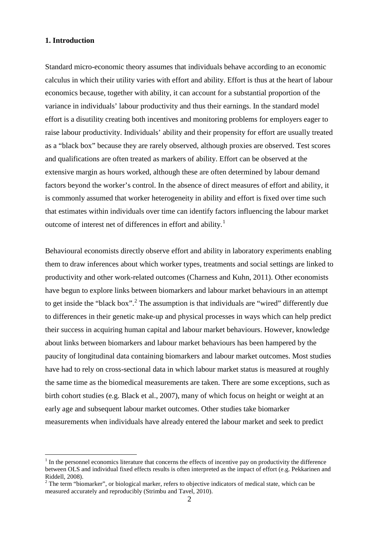#### **1. Introduction**

Standard micro-economic theory assumes that individuals behave according to an economic calculus in which their utility varies with effort and ability. Effort is thus at the heart of labour economics because, together with ability, it can account for a substantial proportion of the variance in individuals' labour productivity and thus their earnings. In the standard model effort is a disutility creating both incentives and monitoring problems for employers eager to raise labour productivity. Individuals' ability and their propensity for effort are usually treated as a "black box" because they are rarely observed, although proxies are observed. Test scores and qualifications are often treated as markers of ability. Effort can be observed at the extensive margin as hours worked, although these are often determined by labour demand factors beyond the worker's control. In the absence of direct measures of effort and ability, it is commonly assumed that worker heterogeneity in ability and effort is fixed over time such that estimates within individuals over time can identify factors influencing the labour market outcome of interest net of differences in effort and ability.<sup>1</sup>

Behavioural economists directly observe effort and ability in laboratory experiments enabling them to draw inferences about which worker types, treatments and social settings are linked to productivity and other work-related outcomes (Charness and Kuhn, 2011). Other economists have begun to explore links between biomarkers and labour market behaviours in an attempt to get inside the "black box".<sup>[2](#page-3-0)</sup> The assumption is that individuals are "wired" differently due to differences in their genetic make-up and physical processes in ways which can help predict their success in acquiring human capital and labour market behaviours. However, knowledge about links between biomarkers and labour market behaviours has been hampered by the paucity of longitudinal data containing biomarkers and labour market outcomes. Most studies have had to rely on cross-sectional data in which labour market status is measured at roughly the same time as the biomedical measurements are taken. There are some exceptions, such as birth cohort studies (e.g. Black et al., 2007), many of which focus on height or weight at an early age and subsequent labour market outcomes. Other studies take biomarker measurements when individuals have already entered the labour market and seek to predict

 $<sup>1</sup>$  In the personnel economics literature that concerns the effects of incentive pay on productivity the difference</sup> between OLS and individual fixed effects results is often interpreted as the impact of effort (e.g. Pekkarinen and Riddell, 2008).<br><sup>2</sup> The term "biomarker", or biological marker, refers to objective indicators of medical state, which can be

<span id="page-3-1"></span><span id="page-3-0"></span>measured accurately and reproducibly (Strimbu and Tavel, 2010).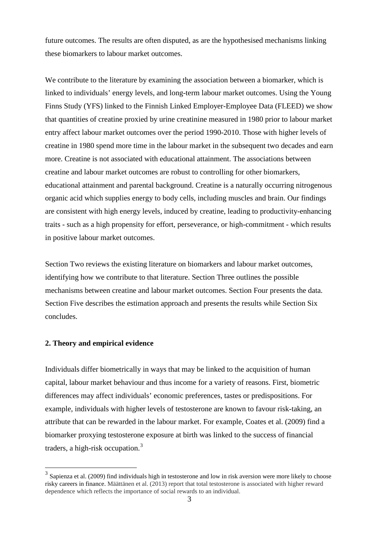future outcomes. The results are often disputed, as are the hypothesised mechanisms linking these biomarkers to labour market outcomes.

We contribute to the literature by examining the association between a biomarker, which is linked to individuals' energy levels, and long-term labour market outcomes. Using the Young Finns Study (YFS) linked to the Finnish Linked Employer-Employee Data (FLEED) we show that quantities of creatine proxied by urine creatinine measured in 1980 prior to labour market entry affect labour market outcomes over the period 1990-2010. Those with higher levels of creatine in 1980 spend more time in the labour market in the subsequent two decades and earn more. Creatine is not associated with educational attainment. The associations between creatine and labour market outcomes are robust to controlling for other biomarkers, educational attainment and parental background. Creatine is a naturally occurring nitrogenous organic acid which supplies energy to body cells, including muscles and brain. Our findings are consistent with high energy levels, induced by creatine, leading to productivity-enhancing traits - such as a high propensity for effort, perseverance, or high-commitment - which results in positive labour market outcomes.

Section Two reviews the existing literature on biomarkers and labour market outcomes, identifying how we contribute to that literature. Section Three outlines the possible mechanisms between creatine and labour market outcomes. Section Four presents the data. Section Five describes the estimation approach and presents the results while Section Six concludes.

#### **2. Theory and empirical evidence**

Individuals differ biometrically in ways that may be linked to the acquisition of human capital, labour market behaviour and thus income for a variety of reasons. First, biometric differences may affect individuals' economic preferences, tastes or predispositions. For example, individuals with higher levels of testosterone are known to favour risk-taking, an attribute that can be rewarded in the labour market. For example, Coates et al. (2009) find a biomarker proxying testosterone exposure at birth was linked to the success of financial traders, a high-risk occupation.<sup>[3](#page-3-1)</sup>

<span id="page-4-0"></span><sup>&</sup>lt;sup>3</sup> Sapienza et al. (2009) find individuals high in testosterone and low in risk aversion were more likely to choose risky careers in finance. Määttänen et al. (2013) report that total testosterone is associated with higher reward dependence which reflects the importance of social rewards to an individual.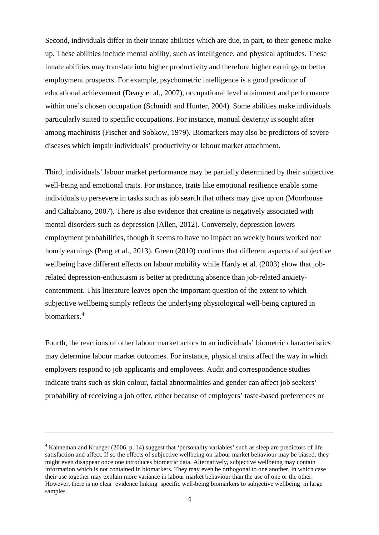Second, individuals differ in their innate abilities which are due, in part, to their genetic makeup. These abilities include mental ability, such as intelligence, and physical aptitudes. These innate abilities may translate into higher productivity and therefore higher earnings or better employment prospects. For example, psychometric intelligence is a good predictor of educational achievement (Deary et al., 2007), occupational level attainment and performance within one's chosen occupation (Schmidt and Hunter, 2004). Some abilities make individuals particularly suited to specific occupations. For instance, manual dexterity is sought after among machinists (Fischer and Sobkow, 1979). Biomarkers may also be predictors of severe diseases which impair individuals' productivity or labour market attachment.

Third, individuals' labour market performance may be partially determined by their subjective well-being and emotional traits. For instance, traits like emotional resilience enable some individuals to persevere in tasks such as job search that others may give up on (Moorhouse and Caltabiano, 2007). There is also evidence that creatine is negatively associated with mental disorders such as depression (Allen, 2012). Conversely, depression lowers employment probabilities, though it seems to have no impact on weekly hours worked nor hourly earnings (Peng et al., 2013). Green (2010) confirms that different aspects of subjective wellbeing have different effects on labour mobility while Hardy et al. (2003) show that jobrelated depression-enthusiasm is better at predicting absence than job-related anxietycontentment. This literature leaves open the important question of the extent to which subjective wellbeing simply reflects the underlying physiological well-being captured in biomarkers.<sup>[4](#page-4-0)</sup>

Fourth, the reactions of other labour market actors to an individuals' biometric characteristics may determine labour market outcomes. For instance, physical traits affect the way in which employers respond to job applicants and employees. Audit and correspondence studies indicate traits such as skin colour, facial abnormalities and gender can affect job seekers' probability of receiving a job offer, either because of employers' taste-based preferences or

<span id="page-5-0"></span><u>.</u>

<sup>4</sup> Kahneman and Krueger (2006, p. 14) suggest that 'personality variables' such as sleep are predictors of life satisfaction and affect. If so the effects of subjective wellbeing on labour market behaviour may be biased: they might even disappear once one introduces biometric data. Alternatively, subjective wellbeing may contain information which is not contained in biomarkers. They may even be orthogonal to one another, in which case their use together may explain more variance in labour market behaviour than the use of one or the other. However, there is no clear evidence linking specific well-being biomarkers to subjective wellbeing in large samples.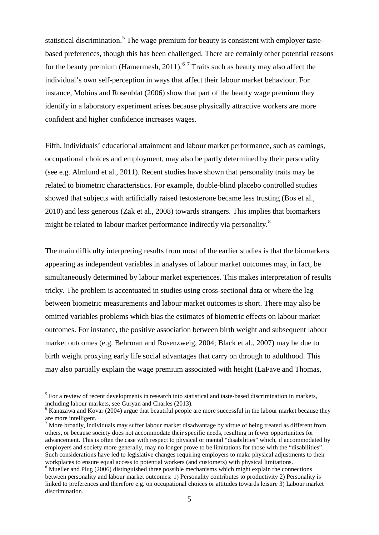statistical discrimination.<sup>[5](#page-5-0)</sup> The wage premium for beauty is consistent with employer tastebased preferences, though this has been challenged. There are certainly other potential reasons for the beauty premium (Hamermesh, 2011).<sup>[6](#page-6-0)[7](#page-6-1)</sup> Traits such as beauty may also affect the individual's own self-perception in ways that affect their labour market behaviour. For instance, Mobius and Rosenblat (2006) show that part of the beauty wage premium they identify in a laboratory experiment arises because physically attractive workers are more confident and higher confidence increases wages.

Fifth, individuals' educational attainment and labour market performance, such as earnings, occupational choices and employment, may also be partly determined by their personality (see e.g. Almlund et al., 2011). Recent studies have shown that personality traits may be related to biometric characteristics. For example, double-blind placebo controlled studies showed that subjects with artificially raised testosterone became less trusting (Bos et al., 2010) and less generous (Zak et al., 2008) towards strangers. This implies that biomarkers might be related to labour market performance indirectly via personality.<sup>[8](#page-6-2)</sup>

The main difficulty interpreting results from most of the earlier studies is that the biomarkers appearing as independent variables in analyses of labour market outcomes may, in fact, be simultaneously determined by labour market experiences. This makes interpretation of results tricky. The problem is accentuated in studies using cross-sectional data or where the lag between biometric measurements and labour market outcomes is short. There may also be omitted variables problems which bias the estimates of biometric effects on labour market outcomes. For instance, the positive association between birth weight and subsequent labour market outcomes (e.g. Behrman and Rosenzweig, 2004; Black et al., 2007) may be due to birth weight proxying early life social advantages that carry on through to adulthood. This may also partially explain the wage premium associated with height (LaFave and Thomas,

 $<sup>5</sup>$  For a review of recent developments in research into statistical and taste-based discrimination in markets,</sup> including labour markets, see Guryan and Charles (2013).

<span id="page-6-0"></span><sup>&</sup>lt;sup>6</sup> Kanazawa and Kovar (2004) argue that beautiful people are more successful in the labour market because they are more intelligent.

<span id="page-6-1"></span><sup>&</sup>lt;sup>7</sup> More broadly, individuals may suffer labour market disadvantage by virtue of being treated as different from others, or because society does not accommodate their specific needs, resulting in fewer opportunities for advancement. This is often the case with respect to physical or mental "disabilities" which, if accommodated by employers and society more generally, may no longer prove to be limitations for those with the "disabilities". Such considerations have led to legislative changes requiring employers to make physical adjustments to their workplaces to ensure equal access to potential workers (and customers) with physical limitations.<br><sup>8</sup> Mueller and Plug (2006) distinguished three possible mechanisms which might explain the connections

<span id="page-6-3"></span><span id="page-6-2"></span>between personality and labour market outcomes: 1) Personality contributes to productivity 2) Personality is linked to preferences and therefore e.g. on occupational choices or attitudes towards leisure 3) Labour market discrimination.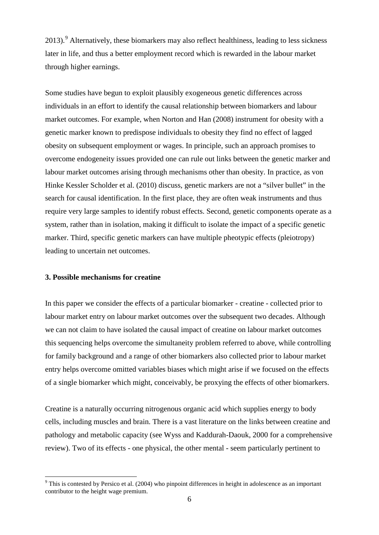2013).<sup>[9](#page-6-3)</sup> Alternatively, these biomarkers may also reflect healthiness, leading to less sickness later in life, and thus a better employment record which is rewarded in the labour market through higher earnings.

Some studies have begun to exploit plausibly exogeneous genetic differences across individuals in an effort to identify the causal relationship between biomarkers and labour market outcomes. For example, when Norton and Han (2008) instrument for obesity with a genetic marker known to predispose individuals to obesity they find no effect of lagged obesity on subsequent employment or wages. In principle, such an approach promises to overcome endogeneity issues provided one can rule out links between the genetic marker and labour market outcomes arising through mechanisms other than obesity. In practice, as von Hinke Kessler Scholder et al. (2010) discuss, genetic markers are not a "silver bullet" in the search for causal identification. In the first place, they are often weak instruments and thus require very large samples to identify robust effects. Second, genetic components operate as a system, rather than in isolation, making it difficult to isolate the impact of a specific genetic marker. Third, specific genetic markers can have multiple pheotypic effects (pleiotropy) leading to uncertain net outcomes.

#### **3. Possible mechanisms for creatine**

In this paper we consider the effects of a particular biomarker - creatine - collected prior to labour market entry on labour market outcomes over the subsequent two decades. Although we can not claim to have isolated the causal impact of creatine on labour market outcomes this sequencing helps overcome the simultaneity problem referred to above, while controlling for family background and a range of other biomarkers also collected prior to labour market entry helps overcome omitted variables biases which might arise if we focused on the effects of a single biomarker which might, conceivably, be proxying the effects of other biomarkers.

<span id="page-7-0"></span>Creatine is a naturally occurring nitrogenous organic acid which supplies energy to body cells, including muscles and brain. There is a vast literature on the links between creatine and pathology and metabolic capacity (see Wyss and Kaddurah-Daouk, 2000 for a comprehensive review). Two of its effects - one physical, the other mental - seem particularly pertinent to

 $9$  This is contested by Persico et al. (2004) who pinpoint differences in height in adolescence as an important contributor to the height wage premium.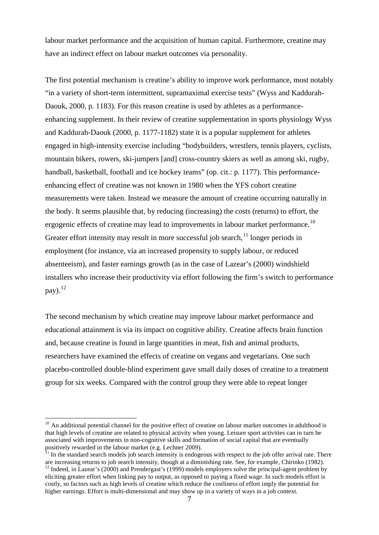labour market performance and the acquisition of human capital. Furthermore, creatine may have an indirect effect on labour market outcomes via personality.

The first potential mechanism is creatine's ability to improve work performance, most notably "in a variety of short-term intermittent, supramaximal exercise tests" (Wyss and Kaddurah-Daouk, 2000, p. 1183). For this reason creatine is used by athletes as a performanceenhancing supplement. In their review of creatine supplementation in sports physiology Wyss and Kaddurah-Daouk (2000, p. 1177-1182) state it is a popular supplement for athletes engaged in high-intensity exercise including "bodybuilders, wrestlers, tennis players, cyclists, mountain bikers, rowers, ski-jumpers [and] cross-country skiers as well as among ski, rugby, handball, basketball, football and ice hockey teams" (op. cit.: p. 1177). This performanceenhancing effect of creatine was not known in 1980 when the YFS cohort creatine measurements were taken. Instead we measure the amount of creatine occurring naturally in the body. It seems plausible that, by reducing (increasing) the costs (returns) to effort, the ergogenic effects of creatine may lead to improvements in labour market performance.<sup>[10](#page-7-0)</sup> Greater effort intensity may result in more successful job search, $<sup>11</sup>$  $<sup>11</sup>$  $<sup>11</sup>$  longer periods in</sup> employment (for instance, via an increased propensity to supply labour, or reduced absenteeism), and faster earnings growth (as in the case of Lazear's (2000) windshield installers who increase their productivity via effort following the firm's switch to performance pay).  $^{12}$  $^{12}$  $^{12}$ 

The second mechanism by which creatine may improve labour market performance and educational attainment is via its impact on cognitive ability. Creatine affects brain function and, because creatine is found in large quantities in meat, fish and animal products, researchers have examined the effects of creatine on vegans and vegetarians. One such placebo-controlled double-blind experiment gave small daily doses of creatine to a treatment group for six weeks. Compared with the control group they were able to repeat longer

<span id="page-8-2"></span> $10$  An additional potential channel for the positive effect of creatine on labour market outcomes in adulthood is that high levels of creatine are related to physical activity when young. Leisure sport activities can in turn be associated with improvements in non-cognitive skills and formation of social capital that are eventually positively rewarded in the labour market (e.g. Lechner 2009).<br><sup>11</sup> In the standard search models job search intensity is endogeous with respect to the job offer arrival rate. There

<span id="page-8-0"></span>are increasing returns to job search intensity, though at a diminishing rate. See, for example, Chirinko (1982).

<span id="page-8-1"></span> $12$  Indeed, in Lazear's (2000) and Prendergast's (1999) models employers solve the principal-agent problem by eliciting greater effort when linking pay to output, as opposed to paying a fixed wage. In such models effort is costly, so factors such as high levels of creatine which reduce the costliness of effort imply the potential for higher earnings. Effort is multi-dimensional and may show up in a variety of ways in a job context.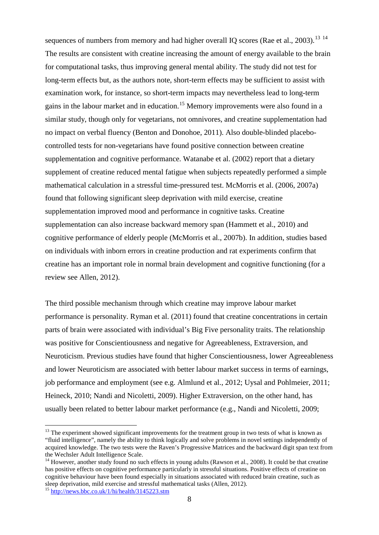sequences of numbers from memory and had higher overall IQ scores (Rae et al., 2003).<sup>[13](#page-8-2) [14](#page-9-0)</sup> The results are consistent with creatine increasing the amount of energy available to the brain for computational tasks, thus improving general mental ability. The study did not test for long-term effects but, as the authors note, short-term effects may be sufficient to assist with examination work, for instance, so short-term impacts may nevertheless lead to long-term gains in the labour market and in education. [15](#page-9-1) Memory improvements were also found in a similar study, though only for vegetarians, not omnivores, and creatine supplementation had no impact on verbal fluency (Benton and Donohoe, 2011). Also double-blinded placebocontrolled tests for non-vegetarians have found positive connection between creatine supplementation and cognitive performance. Watanabe et al. (2002) report that a dietary supplement of creatine reduced mental fatigue when subjects repeatedly performed a simple mathematical calculation in a stressful time-pressured test. McMorris et al. (2006, 2007a) found that following significant sleep deprivation with mild exercise, creatine supplementation improved mood and performance in cognitive tasks. Creatine supplementation can also increase backward memory span (Hammett et al., 2010) and cognitive performance of elderly people (McMorris et al., 2007b). In addition, studies based on individuals with inborn errors in creatine production and rat experiments confirm that creatine has an important role in normal brain development and cognitive functioning (for a review see Allen, 2012).

The third possible mechanism through which creatine may improve labour market performance is personality. Ryman et al. (2011) found that creatine concentrations in certain parts of brain were associated with individual's Big Five personality traits. The relationship was positive for Conscientiousness and negative for Agreeableness, Extraversion, and Neuroticism. Previous studies have found that higher Conscientiousness, lower Agreeableness and lower Neuroticism are associated with better labour market success in terms of earnings, job performance and employment (see e.g. Almlund et al., 2012; Uysal and Pohlmeier, 2011; Heineck, 2010; Nandi and Nicoletti, 2009). Higher Extraversion, on the other hand, has usually been related to better labour market performance (e.g., Nandi and Nicoletti, 2009;

 $13$  The experiment showed significant improvements for the treatment group in two tests of what is known as "fluid intelligence", namely the ability to think logically and solve problems in novel settings independently of acquired knowledge. The two tests were the Raven's Progressive Matrices and the backward digit span text from

<span id="page-9-0"></span><sup>&</sup>lt;sup>14</sup> However, another study found no such effects in young adults (Rawson et al., 2008). It could be that creatine has positive effects on cognitive performance particularly in stressful situations. Positive effects of creatine on cognitive behaviour have been found especially in situations associated with reduced brain creatine, such as sleep deprivation, mild exercise and stressful mathematical tasks (Allen, 2012).

<span id="page-9-2"></span><span id="page-9-1"></span><sup>15</sup> <http://news.bbc.co.uk/1/hi/health/3145223.stm>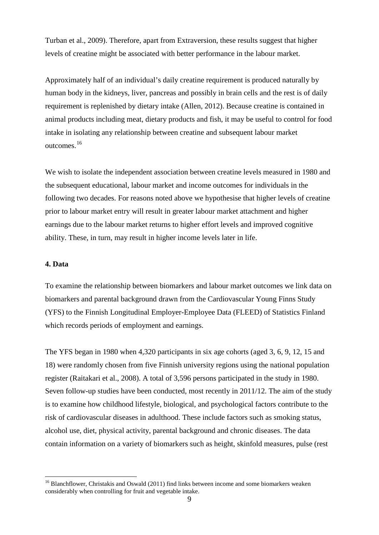Turban et al., 2009). Therefore, apart from Extraversion, these results suggest that higher levels of creatine might be associated with better performance in the labour market.

Approximately half of an individual's daily creatine requirement is produced naturally by human body in the kidneys, liver, pancreas and possibly in brain cells and the rest is of daily requirement is replenished by dietary intake (Allen, 2012). Because creatine is contained in animal products including meat, dietary products and fish, it may be useful to control for food intake in isolating any relationship between creatine and subsequent labour market outcomes.[16](#page-9-2)

We wish to isolate the independent association between creatine levels measured in 1980 and the subsequent educational, labour market and income outcomes for individuals in the following two decades. For reasons noted above we hypothesise that higher levels of creatine prior to labour market entry will result in greater labour market attachment and higher earnings due to the labour market returns to higher effort levels and improved cognitive ability. These, in turn, may result in higher income levels later in life.

#### **4. Data**

To examine the relationship between biomarkers and labour market outcomes we link data on biomarkers and parental background drawn from the Cardiovascular Young Finns Study (YFS) to the Finnish Longitudinal Employer-Employee Data (FLEED) of Statistics Finland which records periods of employment and earnings.

The YFS began in 1980 when 4,320 participants in six age cohorts (aged 3, 6, 9, 12, 15 and 18) were randomly chosen from five Finnish university regions using the national population register (Raitakari et al., 2008). A total of 3,596 persons participated in the study in 1980. Seven follow-up studies have been conducted, most recently in 2011/12. The aim of the study is to examine how childhood lifestyle, biological, and psychological factors contribute to the risk of cardiovascular diseases in adulthood. These include factors such as smoking status, alcohol use, diet, physical activity, parental background and chronic diseases. The data contain information on a variety of biomarkers such as height, skinfold measures, pulse (rest

<span id="page-10-0"></span><sup>&</sup>lt;sup>16</sup> Blanchflower, Christakis and Oswald (2011) find links between income and some biomarkers weaken considerably when controlling for fruit and vegetable intake.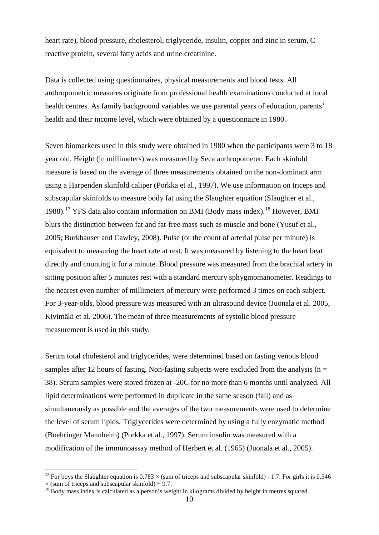heart rate), blood pressure, cholesterol, triglyceride, insulin, copper and zinc in serum, Creactive protein, several fatty acids and urine creatinine.

Data is collected using questionnaires, physical measurements and blood tests. All anthropometric measures originate from professional health examinations conducted at local health centres. As family background variables we use parental years of education, parents' health and their income level, which were obtained by a questionnaire in 1980.

Seven biomarkers used in this study were obtained in 1980 when the participants were 3 to 18 year old. Height (in millimeters) was measured by Seca anthropometer. Each skinfold measure is based on the average of three measurements obtained on the non-dominant arm using a Harpenden skinfold caliper (Porkka et al., 1997). We use information on triceps and subscapular skinfolds to measure body fat using the Slaughter equation (Slaughter et al., 1988).<sup>[17](#page-10-0)</sup> YFS data also contain information on BMI (Body mass index).<sup>[18](#page-11-0)</sup> However, BMI blurs the distinction between fat and fat-free mass such as muscle and bone (Yusuf et al., 2005; Burkhauser and Cawley, 2008). Pulse (or the count of arterial pulse per minute) is equivalent to measuring the heart rate at rest. It was measured by listening to the heart beat directly and counting it for a minute. Blood pressure was measured from the brachial artery in sitting position after 5 minutes rest with a standard mercury sphygmomanometer. Readings to the nearest even number of millimeters of mercury were performed 3 times on each subject. For 3-year-olds, blood pressure was measured with an ultrasound device (Juonala et al. 2005, Kivimäki et al. 2006). The mean of three measurements of systolic blood pressure measurement is used in this study.

Serum total cholesterol and triglycerides, were determined based on fasting venous blood samples after 12 hours of fasting. Non-fasting subjects were excluded from the analysis ( $n =$ 38). Serum samples were stored frozen at -20C for no more than 6 months until analyzed. All lipid determinations were performed in duplicate in the same season (fall) and as simultaneously as possible and the averages of the two measurements were used to determine the level of serum lipids. Triglycerides were determined by using a fully enzymatic method (Boehringer Mannheim) (Porkka et al., 1997). Serum insulin was measured with a modification of the immunoassay method of Herbert et al. (1965) (Juonala et al., 2005).

<sup>&</sup>lt;sup>17</sup> For boys the Slaughter equation is  $0.783 \times$  (sum of triceps and subscapular skinfold) - 1.7. For girls it is 0.546  $\times$  (sum of triceps and subscapular skinfold) + 9.7.

<span id="page-11-1"></span><span id="page-11-0"></span><sup>&</sup>lt;sup>18</sup> Body mass index is calculated as a person's weight in kilograms divided by height in metres squared.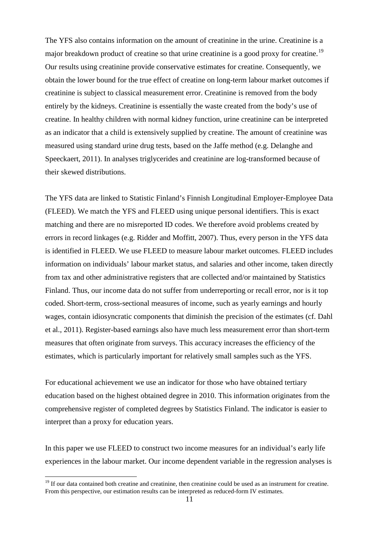The YFS also contains information on the amount of creatinine in the urine. Creatinine is a major breakdown product of creatine so that urine creatinine is a good proxy for creatine.<sup>[19](#page-11-1)</sup> Our results using creatinine provide conservative estimates for creatine. Consequently, we obtain the lower bound for the true effect of creatine on long-term labour market outcomes if creatinine is subject to classical measurement error. Creatinine is removed from the body entirely by the kidneys. Creatinine is essentially the waste created from the body's use of creatine. In healthy children with normal kidney function, urine creatinine can be interpreted as an indicator that a child is extensively supplied by creatine. The amount of creatinine was measured using standard urine drug tests, based on the Jaffe method (e.g. Delanghe and Speeckaert, 2011). In analyses triglycerides and creatinine are log-transformed because of their skewed distributions.

The YFS data are linked to Statistic Finland's Finnish Longitudinal Employer-Employee Data (FLEED). We match the YFS and FLEED using unique personal identifiers. This is exact matching and there are no misreported ID codes. We therefore avoid problems created by errors in record linkages (e.g. Ridder and Moffitt, 2007). Thus, every person in the YFS data is identified in FLEED. We use FLEED to measure labour market outcomes. FLEED includes information on individuals' labour market status, and salaries and other income, taken directly from tax and other administrative registers that are collected and/or maintained by Statistics Finland. Thus, our income data do not suffer from underreporting or recall error, nor is it top coded. Short-term, cross-sectional measures of income, such as yearly earnings and hourly wages, contain idiosyncratic components that diminish the precision of the estimates (cf. Dahl et al., 2011). Register-based earnings also have much less measurement error than short-term measures that often originate from surveys. This accuracy increases the efficiency of the estimates, which is particularly important for relatively small samples such as the YFS.

For educational achievement we use an indicator for those who have obtained tertiary education based on the highest obtained degree in 2010. This information originates from the comprehensive register of completed degrees by Statistics Finland. The indicator is easier to interpret than a proxy for education years.

<span id="page-12-0"></span>In this paper we use FLEED to construct two income measures for an individual's early life experiences in the labour market. Our income dependent variable in the regression analyses is

<sup>&</sup>lt;sup>19</sup> If our data contained both creatine and creatinine, then creatinine could be used as an instrument for creatine. From this perspective, our estimation results can be interpreted as reduced-form IV estimates.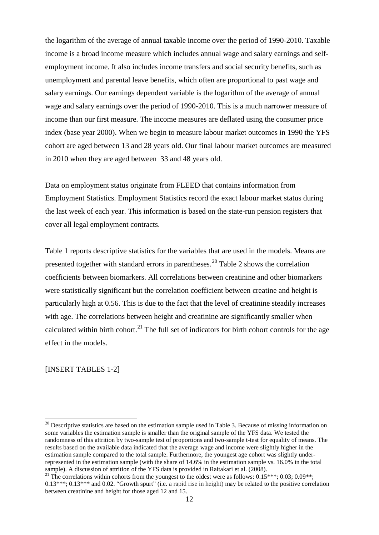the logarithm of the average of annual taxable income over the period of 1990-2010. Taxable income is a broad income measure which includes annual wage and salary earnings and selfemployment income. It also includes income transfers and social security benefits, such as unemployment and parental leave benefits, which often are proportional to past wage and salary earnings. Our earnings dependent variable is the logarithm of the average of annual wage and salary earnings over the period of 1990-2010. This is a much narrower measure of income than our first measure. The income measures are deflated using the consumer price index (base year 2000). When we begin to measure labour market outcomes in 1990 the YFS cohort are aged between 13 and 28 years old. Our final labour market outcomes are measured in 2010 when they are aged between 33 and 48 years old.

Data on employment status originate from FLEED that contains information from Employment Statistics. Employment Statistics record the exact labour market status during the last week of each year. This information is based on the state-run pension registers that cover all legal employment contracts.

Table 1 reports descriptive statistics for the variables that are used in the models. Means are presented together with standard errors in parentheses.<sup>[20](#page-12-0)</sup> Table 2 shows the correlation coefficients between biomarkers. All correlations between creatinine and other biomarkers were statistically significant but the correlation coefficient between creatine and height is particularly high at 0.56. This is due to the fact that the level of creatinine steadily increases with age. The correlations between height and creatinine are significantly smaller when calculated within birth cohort.<sup>[21](#page-13-0)</sup> The full set of indicators for birth cohort controls for the age effect in the models.

[INSERT TABLES 1-2]

<span id="page-13-1"></span> $20$  Descriptive statistics are based on the estimation sample used in Table 3. Because of missing information on some variables the estimation sample is smaller than the original sample of the YFS data. We tested the randomness of this attrition by two-sample test of proportions and two-sample t-test for equality of means. The results based on the available data indicated that the average wage and income were slightly higher in the estimation sample compared to the total sample. Furthermore, the youngest age cohort was slightly underrepresented in the estimation sample (with the share of 14.6% in the estimation sample vs. 16.0% in the total sample). A discussion of attrition of the YFS data is provided in Raitakari et al. (2008).

<span id="page-13-0"></span><sup>&</sup>lt;sup>21</sup> The correlations within cohorts from the youngest to the oldest were as follows: 0.15\*\*\*; 0.03; 0.09\*\*; 0.13\*\*\*; 0.13\*\*\* and 0.02. "Growth spurt" (i.e. a rapid rise in height) may be related to the positive correlation between creatinine and height for those aged 12 and 15.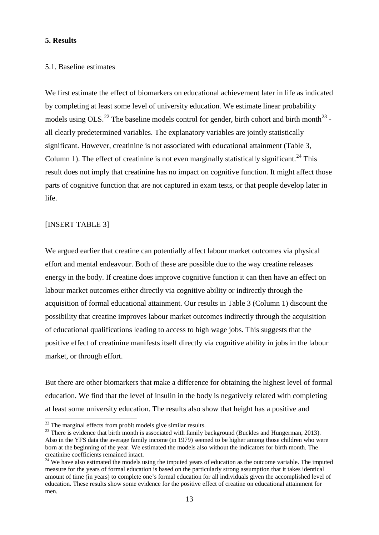#### **5. Results**

#### 5.1. Baseline estimates

We first estimate the effect of biomarkers on educational achievement later in life as indicated by completing at least some level of university education. We estimate linear probability models using OLS.<sup>[22](#page-13-1)</sup> The baseline models control for gender, birth cohort and birth month<sup>[23](#page-14-0)</sup> all clearly predetermined variables. The explanatory variables are jointly statistically significant. However, creatinine is not associated with educational attainment (Table 3, Column 1). The effect of creatinine is not even marginally statistically significant.<sup>[24](#page-14-1)</sup> This result does not imply that creatinine has no impact on cognitive function. It might affect those parts of cognitive function that are not captured in exam tests, or that people develop later in life.

#### [INSERT TABLE 3]

We argued earlier that creatine can potentially affect labour market outcomes via physical effort and mental endeavour. Both of these are possible due to the way creatine releases energy in the body. If creatine does improve cognitive function it can then have an effect on labour market outcomes either directly via cognitive ability or indirectly through the acquisition of formal educational attainment. Our results in Table 3 (Column 1) discount the possibility that creatine improves labour market outcomes indirectly through the acquisition of educational qualifications leading to access to high wage jobs. This suggests that the positive effect of creatinine manifests itself directly via cognitive ability in jobs in the labour market, or through effort.

But there are other biomarkers that make a difference for obtaining the highest level of formal education. We find that the level of insulin in the body is negatively related with completing at least some university education. The results also show that height has a positive and

<span id="page-14-0"></span><sup>&</sup>lt;sup>22</sup> The marginal effects from probit models give similar results.<br><sup>23</sup> There is evidence that birth month is associated with family background (Buckles and Hungerman, 2013). Also in the YFS data the average family income (in 1979) seemed to be higher among those children who were born at the beginning of the year. We estimated the models also without the indicators for birth month. The

<span id="page-14-2"></span><span id="page-14-1"></span><sup>&</sup>lt;sup>24</sup> We have also estimated the models using the imputed years of education as the outcome variable. The imputed measure for the years of formal education is based on the particularly strong assumption that it takes identical amount of time (in years) to complete one's formal education for all individuals given the accomplished level of education. These results show some evidence for the positive effect of creatine on educational attainment for men.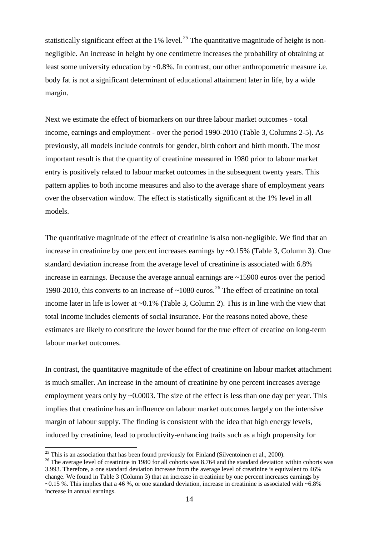statistically significant effect at the 1% level.<sup>[25](#page-14-2)</sup> The quantitative magnitude of height is nonnegligible. An increase in height by one centimetre increases the probability of obtaining at least some university education by ~0.8%. In contrast, our other anthropometric measure i.e. body fat is not a significant determinant of educational attainment later in life, by a wide margin.

Next we estimate the effect of biomarkers on our three labour market outcomes - total income, earnings and employment - over the period 1990-2010 (Table 3, Columns 2-5). As previously, all models include controls for gender, birth cohort and birth month. The most important result is that the quantity of creatinine measured in 1980 prior to labour market entry is positively related to labour market outcomes in the subsequent twenty years. This pattern applies to both income measures and also to the average share of employment years over the observation window. The effect is statistically significant at the 1% level in all models.

The quantitative magnitude of the effect of creatinine is also non-negligible. We find that an increase in creatinine by one percent increases earnings by ~0.15% (Table 3, Column 3). One standard deviation increase from the average level of creatinine is associated with 6.8% increase in earnings. Because the average annual earnings are ~15900 euros over the period 1990-2010, this converts to an increase of  $\sim$ 1080 euros.<sup>[26](#page-15-0)</sup> The effect of creatinine on total income later in life is lower at ~0.1% (Table 3, Column 2). This is in line with the view that total income includes elements of social insurance. For the reasons noted above, these estimates are likely to constitute the lower bound for the true effect of creatine on long-term labour market outcomes.

In contrast, the quantitative magnitude of the effect of creatinine on labour market attachment is much smaller. An increase in the amount of creatinine by one percent increases average employment years only by  $\sim 0.0003$ . The size of the effect is less than one day per year. This implies that creatinine has an influence on labour market outcomes largely on the intensive margin of labour supply. The finding is consistent with the idea that high energy levels, induced by creatinine, lead to productivity-enhancing traits such as a high propensity for

<span id="page-15-1"></span><span id="page-15-0"></span><sup>&</sup>lt;sup>25</sup> This is an association that has been found previously for Finland (Silventoinen et al., 2000).<br><sup>26</sup> The average level of creatinine in 1980 for all cohorts was 8.764 and the standard deviation within cohorts was 3.993. Therefore, a one standard deviation increase from the average level of creatinine is equivalent to 46% change. We found in Table 3 (Column 3) that an increase in creatinine by one percent increases earnings by  $\sim 0.15$  %. This implies that a 46 %, or one standard deviation, increase in creatinine is associated with  $\sim 6.8\%$ increase in annual earnings.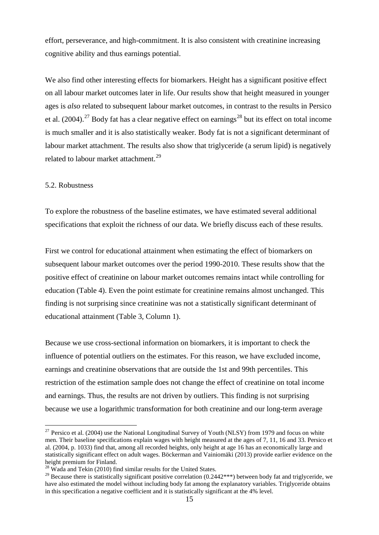effort, perseverance, and high-commitment. It is also consistent with creatinine increasing cognitive ability and thus earnings potential.

We also find other interesting effects for biomarkers. Height has a significant positive effect on all labour market outcomes later in life. Our results show that height measured in younger ages is *also* related to subsequent labour market outcomes, in contrast to the results in Persico et al. (2004).<sup>[27](#page-15-1)</sup> Body fat has a clear negative effect on earnings<sup>[28](#page-16-0)</sup> but its effect on total income is much smaller and it is also statistically weaker. Body fat is not a significant determinant of labour market attachment. The results also show that triglyceride (a serum lipid) is negatively related to labour market attachment.<sup>[29](#page-16-1)</sup>

#### 5.2. Robustness

To explore the robustness of the baseline estimates, we have estimated several additional specifications that exploit the richness of our data. We briefly discuss each of these results.

First we control for educational attainment when estimating the effect of biomarkers on subsequent labour market outcomes over the period 1990-2010. These results show that the positive effect of creatinine on labour market outcomes remains intact while controlling for education (Table 4). Even the point estimate for creatinine remains almost unchanged. This finding is not surprising since creatinine was not a statistically significant determinant of educational attainment (Table 3, Column 1).

Because we use cross-sectional information on biomarkers, it is important to check the influence of potential outliers on the estimates. For this reason, we have excluded income, earnings and creatinine observations that are outside the 1st and 99th percentiles. This restriction of the estimation sample does not change the effect of creatinine on total income and earnings. Thus, the results are not driven by outliers. This finding is not surprising because we use a logarithmic transformation for both creatinine and our long-term average

 $27$  Persico et al. (2004) use the National Longitudinal Survey of Youth (NLSY) from 1979 and focus on white men. Their baseline specifications explain wages with height measured at the ages of 7, 11, 16 and 33. Persico et al. (2004, p. 1033) find that, among all recorded heights, only height at age 16 has an economically large and statistically significant effect on adult wages. Böckerman and Vainiomäki (2013) provide earlier evidence on the height premium for Finland.

<span id="page-16-2"></span><sup>&</sup>lt;sup>28</sup> Wada and Tekin (2010) find similar results for the United States.

<span id="page-16-1"></span><span id="page-16-0"></span><sup>&</sup>lt;sup>29</sup> Because there is statistically significant positive correlation (0.2442\*\*\*) between body fat and triglyceride, we have also estimated the model without including body fat among the explanatory variables. Triglyceride obtains in this specification a negative coefficient and it is statistically significant at the 4% level.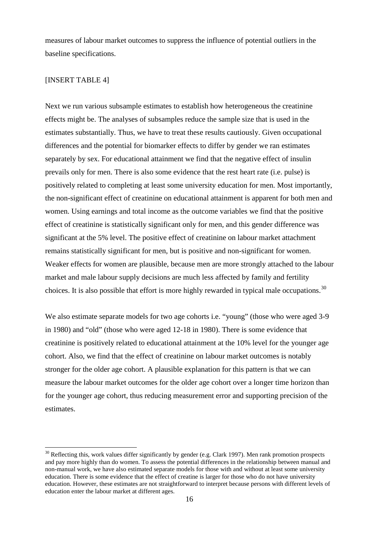measures of labour market outcomes to suppress the influence of potential outliers in the baseline specifications.

#### [INSERT TABLE 4]

Next we run various subsample estimates to establish how heterogeneous the creatinine effects might be. The analyses of subsamples reduce the sample size that is used in the estimates substantially. Thus, we have to treat these results cautiously. Given occupational differences and the potential for biomarker effects to differ by gender we ran estimates separately by sex. For educational attainment we find that the negative effect of insulin prevails only for men. There is also some evidence that the rest heart rate (i.e. pulse) is positively related to completing at least some university education for men. Most importantly, the non-significant effect of creatinine on educational attainment is apparent for both men and women. Using earnings and total income as the outcome variables we find that the positive effect of creatinine is statistically significant only for men, and this gender difference was significant at the 5% level. The positive effect of creatinine on labour market attachment remains statistically significant for men, but is positive and non-significant for women. Weaker effects for women are plausible, because men are more strongly attached to the labour market and male labour supply decisions are much less affected by family and fertility choices. It is also possible that effort is more highly rewarded in typical male occupations.<sup>[30](#page-16-2)</sup>

We also estimate separate models for two age cohorts i.e. "young" (those who were aged 3-9 in 1980) and "old" (those who were aged 12-18 in 1980). There is some evidence that creatinine is positively related to educational attainment at the 10% level for the younger age cohort. Also, we find that the effect of creatinine on labour market outcomes is notably stronger for the older age cohort. A plausible explanation for this pattern is that we can measure the labour market outcomes for the older age cohort over a longer time horizon than for the younger age cohort, thus reducing measurement error and supporting precision of the estimates.

<span id="page-17-0"></span> $30$  Reflecting this, work values differ significantly by gender (e.g. Clark 1997). Men rank promotion prospects and pay more highly than do women. To assess the potential differences in the relationship between manual and non-manual work, we have also estimated separate models for those with and without at least some university education. There is some evidence that the effect of creatine is larger for those who do not have university education. However, these estimates are not straightforward to interpret because persons with different levels of education enter the labour market at different ages.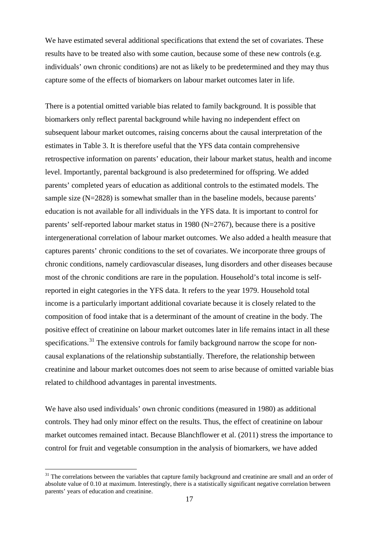We have estimated several additional specifications that extend the set of covariates. These results have to be treated also with some caution, because some of these new controls (e.g. individuals' own chronic conditions) are not as likely to be predetermined and they may thus capture some of the effects of biomarkers on labour market outcomes later in life.

There is a potential omitted variable bias related to family background. It is possible that biomarkers only reflect parental background while having no independent effect on subsequent labour market outcomes, raising concerns about the causal interpretation of the estimates in Table 3. It is therefore useful that the YFS data contain comprehensive retrospective information on parents' education, their labour market status, health and income level. Importantly, parental background is also predetermined for offspring. We added parents' completed years of education as additional controls to the estimated models. The sample size (N=2828) is somewhat smaller than in the baseline models, because parents' education is not available for all individuals in the YFS data. It is important to control for parents' self-reported labour market status in 1980 (N=2767), because there is a positive intergenerational correlation of labour market outcomes. We also added a health measure that captures parents' chronic conditions to the set of covariates. We incorporate three groups of chronic conditions, namely cardiovascular diseases, lung disorders and other diseases because most of the chronic conditions are rare in the population. Household's total income is selfreported in eight categories in the YFS data. It refers to the year 1979. Household total income is a particularly important additional covariate because it is closely related to the composition of food intake that is a determinant of the amount of creatine in the body. The positive effect of creatinine on labour market outcomes later in life remains intact in all these specifications.<sup>[31](#page-17-0)</sup> The extensive controls for family background narrow the scope for noncausal explanations of the relationship substantially. Therefore, the relationship between creatinine and labour market outcomes does not seem to arise because of omitted variable bias related to childhood advantages in parental investments.

We have also used individuals' own chronic conditions (measured in 1980) as additional controls. They had only minor effect on the results. Thus, the effect of creatinine on labour market outcomes remained intact. Because Blanchflower et al. (2011) stress the importance to control for fruit and vegetable consumption in the analysis of biomarkers, we have added

<span id="page-18-0"></span> $31$  The correlations between the variables that capture family background and creatinine are small and an order of absolute value of 0.10 at maximum. Interestingly, there is a statistically significant negative correlation between parents' years of education and creatinine.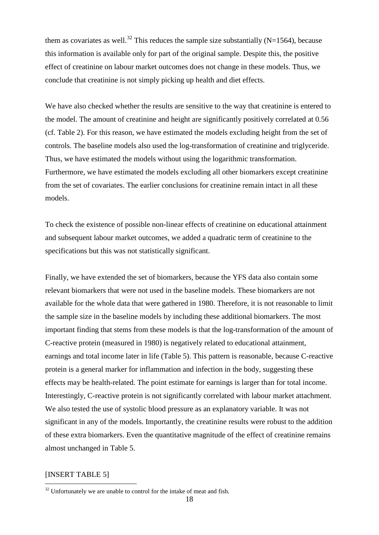them as covariates as well.<sup>[32](#page-18-0)</sup> This reduces the sample size substantially (N=1564), because this information is available only for part of the original sample. Despite this, the positive effect of creatinine on labour market outcomes does not change in these models. Thus, we conclude that creatinine is not simply picking up health and diet effects.

We have also checked whether the results are sensitive to the way that creatinine is entered to the model. The amount of creatinine and height are significantly positively correlated at 0.56 (cf. Table 2). For this reason, we have estimated the models excluding height from the set of controls. The baseline models also used the log-transformation of creatinine and triglyceride. Thus, we have estimated the models without using the logarithmic transformation. Furthermore, we have estimated the models excluding all other biomarkers except creatinine from the set of covariates. The earlier conclusions for creatinine remain intact in all these models.

To check the existence of possible non-linear effects of creatinine on educational attainment and subsequent labour market outcomes, we added a quadratic term of creatinine to the specifications but this was not statistically significant.

Finally, we have extended the set of biomarkers, because the YFS data also contain some relevant biomarkers that were not used in the baseline models. These biomarkers are not available for the whole data that were gathered in 1980. Therefore, it is not reasonable to limit the sample size in the baseline models by including these additional biomarkers. The most important finding that stems from these models is that the log-transformation of the amount of C-reactive protein (measured in 1980) is negatively related to educational attainment, earnings and total income later in life (Table 5). This pattern is reasonable, because C-reactive protein is a general marker for inflammation and infection in the body, suggesting these effects may be health-related. The point estimate for earnings is larger than for total income. Interestingly, C-reactive protein is not significantly correlated with labour market attachment. We also tested the use of systolic blood pressure as an explanatory variable. It was not significant in any of the models. Importantly, the creatinine results were robust to the addition of these extra biomarkers. Even the quantitative magnitude of the effect of creatinine remains almost unchanged in Table 5.

#### [INSERT TABLE 5]

 $32$  Unfortunately we are unable to control for the intake of meat and fish.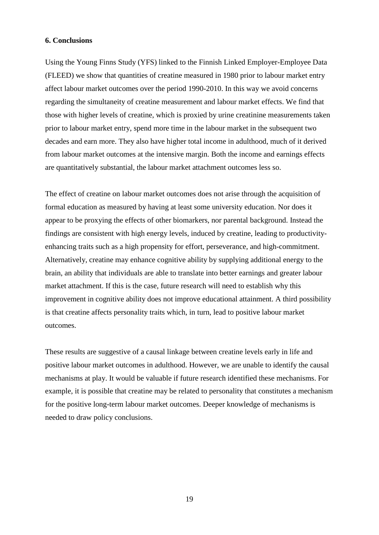#### **6. Conclusions**

Using the Young Finns Study (YFS) linked to the Finnish Linked Employer-Employee Data (FLEED) we show that quantities of creatine measured in 1980 prior to labour market entry affect labour market outcomes over the period 1990-2010. In this way we avoid concerns regarding the simultaneity of creatine measurement and labour market effects. We find that those with higher levels of creatine, which is proxied by urine creatinine measurements taken prior to labour market entry, spend more time in the labour market in the subsequent two decades and earn more. They also have higher total income in adulthood, much of it derived from labour market outcomes at the intensive margin. Both the income and earnings effects are quantitatively substantial, the labour market attachment outcomes less so.

The effect of creatine on labour market outcomes does not arise through the acquisition of formal education as measured by having at least some university education. Nor does it appear to be proxying the effects of other biomarkers, nor parental background. Instead the findings are consistent with high energy levels, induced by creatine, leading to productivityenhancing traits such as a high propensity for effort, perseverance, and high-commitment. Alternatively, creatine may enhance cognitive ability by supplying additional energy to the brain, an ability that individuals are able to translate into better earnings and greater labour market attachment. If this is the case, future research will need to establish why this improvement in cognitive ability does not improve educational attainment. A third possibility is that creatine affects personality traits which, in turn, lead to positive labour market outcomes.

These results are suggestive of a causal linkage between creatine levels early in life and positive labour market outcomes in adulthood. However, we are unable to identify the causal mechanisms at play. It would be valuable if future research identified these mechanisms. For example, it is possible that creatine may be related to personality that constitutes a mechanism for the positive long-term labour market outcomes. Deeper knowledge of mechanisms is needed to draw policy conclusions.

19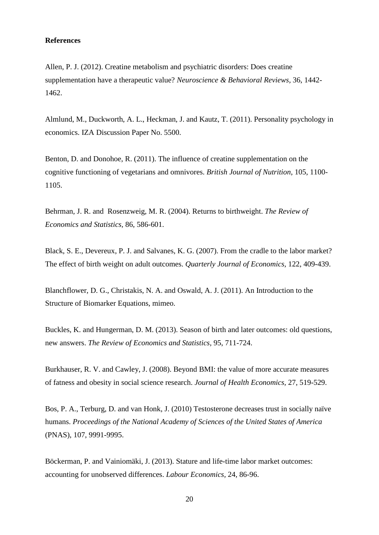#### **References**

Allen, P. J. (2012). Creatine metabolism and psychiatric disorders: Does creatine supplementation have a therapeutic value? *Neuroscience & Behavioral Reviews,* 36, 1442- 1462.

Almlund, M., Duckworth, A. L., Heckman, J. and Kautz, T. (2011). Personality psychology in economics. IZA Discussion Paper No. 5500.

Benton, D. and Donohoe, R. (2011). The influence of creatine supplementation on the cognitive functioning of vegetarians and omnivores. *British Journal of Nutrition*, 105, 1100- 1105.

Behrman, J. R. and Rosenzweig, M. R. (2004). Returns to birthweight. *The Review of Economics and Statistics,* 86, 586-601.

Black, S. E., Devereux, P. J. and Salvanes, K. G. (2007). From the cradle to the labor market? The effect of birth weight on adult outcomes. *Quarterly Journal of Economics,* 122, 409-439.

Blanchflower, D. G., Christakis, N. A. and Oswald, A. J. (2011). An Introduction to the Structure of Biomarker Equations, mimeo.

Buckles, K. and Hungerman, D. M. (2013). Season of birth and later outcomes: old questions, new answers. *The Review of Economics and Statistics,* 95, 711-724.

Burkhauser, R. V. and Cawley, J. (2008). Beyond BMI: the value of more accurate measures of fatness and obesity in social science research. *Journal of Health Economics,* 27, 519-529.

Bos, P. A., Terburg, D. and van Honk, J. (2010) Testosterone decreases trust in socially naïve humans. *Proceedings of the National Academy of Sciences of the United States of America* (PNAS), 107, 9991-9995.

Böckerman, P. and Vainiomäki, J. (2013). Stature and life-time labor market outcomes: accounting for unobserved differences. *Labour Economics,* 24, 86-96.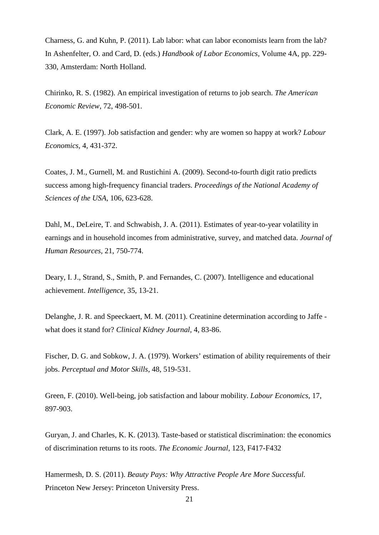Charness, G. and Kuhn, P. (2011). Lab labor: what can labor economists learn from the lab? In Ashenfelter, O. and Card, D. (eds.) *Handbook of Labor Economics,* Volume 4A, pp. 229- 330, Amsterdam: North Holland.

Chirinko, R. S. (1982). An empirical investigation of returns to job search. *The American Economic Review*, 72, 498-501.

Clark, A. E. (1997). Job satisfaction and gender: why are women so happy at work? *Labour Economics,* 4, 431-372.

Coates, J. M., Gurnell, M. and Rustichini A. (2009). Second-to-fourth digit ratio predicts success among high-frequency financial traders. *Proceedings of the National Academy of Sciences of the USA*, 106, 623-628.

Dahl, M., DeLeire, T. and Schwabish, J. A. (2011). Estimates of year-to-year volatility in earnings and in household incomes from administrative, survey, and matched data. *Journal of Human Resources,* 21, 750-774.

Deary, I. J., Strand, S., Smith, P. and Fernandes, C. (2007). Intelligence and educational achievement. *Intelligence*, 35, 13-21.

Delanghe, J. R. and Speeckaert, M. M. (2011). Creatinine determination according to Jaffe what does it stand for? *Clinical Kidney Journal,* 4, 83-86.

Fischer, D. G. and Sobkow, J. A. (1979). Workers' estimation of ability requirements of their jobs. *Perceptual and Motor Skills*, 48, 519-531.

Green, F. (2010). Well-being, job satisfaction and labour mobility. *Labour Economics*, 17, 897-903.

Guryan, J. and Charles, K. K. (2013). Taste-based or statistical discrimination: the economics of discrimination returns to its roots. *The Economic Journal*, 123, F417-F432

Hamermesh, D. S. (2011). *Beauty Pays: Why Attractive People Are More Successful.* Princeton New Jersey: Princeton University Press.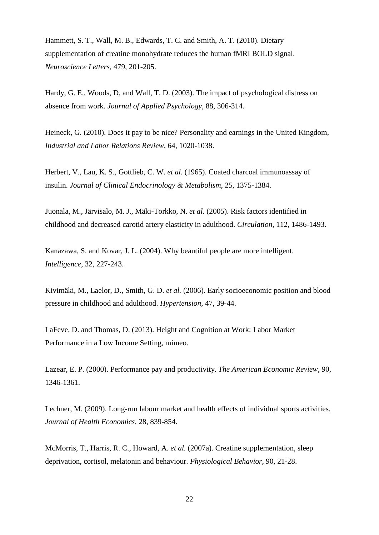Hammett, S. T., Wall, M. B., Edwards, T. C. and Smith, A. T. (2010). Dietary supplementation of creatine monohydrate reduces the human fMRI BOLD signal. *Neuroscience Letters,* 479, 201-205.

Hardy, G. E., Woods, D. and Wall, T. D. (2003). The impact of psychological distress on absence from work. *Journal of Applied Psychology*, 88, 306-314.

Heineck, G. (2010). Does it pay to be nice? Personality and earnings in the United Kingdom, *Industrial and Labor Relations Review,* 64, 1020-1038.

Herbert, V., Lau, K. S., Gottlieb, C. W. *et al.* (1965). Coated charcoal immunoassay of insulin. *Journal of Clinical Endocrinology & Metabolism,* 25, 1375-1384.

Juonala, M., Järvisalo, M. J., Mäki-Torkko, N. *et al.* (2005). Risk factors identified in childhood and decreased carotid artery elasticity in adulthood. *Circulation,* 112, 1486-1493.

Kanazawa, S. and Kovar, J. L. (2004). Why beautiful people are more intelligent. *Intelligence*, 32, 227-243.

Kivimäki, M., Laelor, D., Smith, G. D. *et al.* (2006). Early socioeconomic position and blood pressure in childhood and adulthood. *Hypertension,* 47, 39-44.

LaFeve, D. and Thomas, D. (2013). Height and Cognition at Work: Labor Market Performance in a Low Income Setting, mimeo.

Lazear, E. P. (2000). Performance pay and productivity. *The American Economic Review,* 90, 1346-1361.

Lechner, M. (2009). Long-run labour market and health effects of individual sports activities. *Journal of Health Economics,* 28, 839-854.

McMorris, T., Harris, R. C., Howard, A. *et al.* (2007a). Creatine supplementation, sleep deprivation, cortisol, melatonin and behaviour. *Physiological Behavior,* 90, 21-28.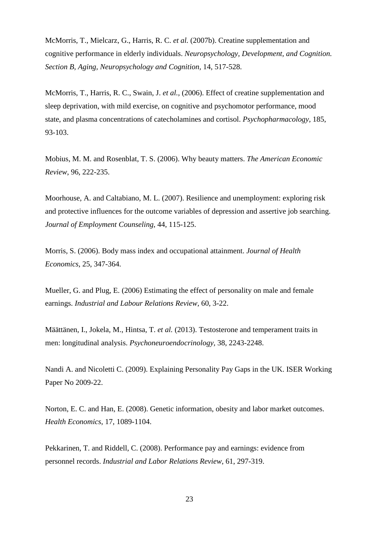McMorris, T., Mielcarz, G., Harris, R. C. *et al.* (2007b). Creatine supplementation and cognitive performance in elderly individuals. *Neuropsychology, Development, and Cognition. Section B, Aging, Neuropsychology and Cognition,* 14, 517-528.

McMorris, T., Harris, R. C., Swain, J. *et al.,* (2006). Effect of creatine supplementation and sleep deprivation, with mild exercise, on cognitive and psychomotor performance, mood state, and plasma concentrations of catecholamines and cortisol. *Psychopharmacology,* 185, 93-103.

Mobius, M. M. and Rosenblat, T. S. (2006). Why beauty matters. *The American Economic Review*, 96, 222-235.

Moorhouse, A. and Caltabiano, M. L. (2007). Resilience and unemployment: exploring risk and protective influences for the outcome variables of depression and assertive job searching. *Journal of Employment Counseling*, 44, 115-125.

Morris, S. (2006). Body mass index and occupational attainment. *Journal of Health Economics*, 25, 347-364.

Mueller, G. and Plug, E. (2006) Estimating the effect of personality on male and female earnings. *Industrial and Labour Relations Review,* 60, 3-22.

Määttänen, I., Jokela, M., Hintsa, T. *et al.* (2013). Testosterone and temperament traits in men: longitudinal analysis. *Psychoneuroendocrinology,* 38, 2243-2248.

Nandi A. and Nicoletti C. (2009). Explaining Personality Pay Gaps in the UK. ISER Working Paper No 2009-22.

Norton, E. C. and Han, E. (2008). Genetic information, obesity and labor market outcomes. *Health Economics*, 17, 1089-1104.

Pekkarinen, T. and Riddell, C. (2008). Performance pay and earnings: evidence from personnel records. *Industrial and Labor Relations Review*, 61, 297-319.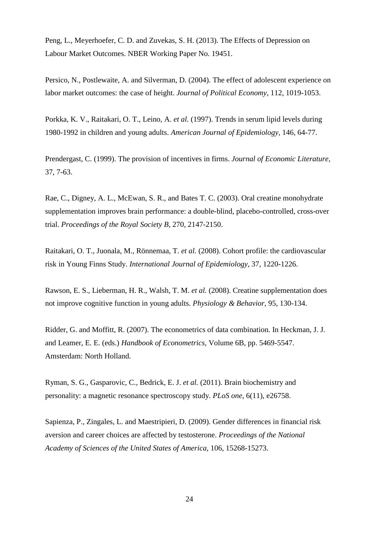Peng, L., Meyerhoefer, C. D. and Zuvekas, S. H. (2013). The Effects of Depression on Labour Market Outcomes. NBER Working Paper No. 19451.

Persico, N., Postlewaite, A. and Silverman, D. (2004). The effect of adolescent experience on labor market outcomes: the case of height. *Journal of Political Economy*, 112, 1019-1053.

Porkka, K. V., Raitakari, O. T., Leino, A. *et al.* (1997). Trends in serum lipid levels during 1980-1992 in children and young adults. *American Journal of Epidemiology,* 146, 64-77.

Prendergast, C. (1999). The provision of incentives in firms. *Journal of Economic Literature,*  37, 7-63.

Rae, C., Digney, A. L., McEwan, S. R., and Bates T. C. (2003). [Oral creatine monohydrate](http://www.ncbi.nlm.nih.gov/pmc/articles/PMC1691485)  [supplementation improves brain performance: a double-blind, placebo-controlled, cross-over](http://www.ncbi.nlm.nih.gov/pmc/articles/PMC1691485)  [trial.](http://www.ncbi.nlm.nih.gov/pmc/articles/PMC1691485) *Proceedings of the Royal Society B,* 270, 2147-2150.

Raitakari, O. T., Juonala, M., Rönnemaa, T. *et al.* (2008). Cohort profile: the cardiovascular risk in Young Finns Study. *International Journal of Epidemiology,* 37, 1220-1226.

Rawson, E. S., Lieberman, H. R., Walsh, T. M. *et al.* (2008). Creatine supplementation does not improve cognitive function in young adults. *Physiology & Behavior,* 95, 130-134.

Ridder, G. and Moffitt, R. (2007). The econometrics of data combination. In Heckman, J. J. and Leamer, E. E. (eds.) *Handbook of Econometrics,* Volume 6B, pp. 5469-5547. Amsterdam: North Holland.

Ryman, S. G., Gasparovic, C., Bedrick, E. J. *et al.* (2011). Brain biochemistry and personality: a magnetic resonance spectroscopy study. *PLoS one,* 6(11), e26758.

Sapienza, P., Zingales, L. and Maestripieri, D. (2009). Gender differences in financial risk aversion and career choices are affected by testosterone. *Proceedings of the National Academy of Sciences of the United States of America*, 106, 15268-15273.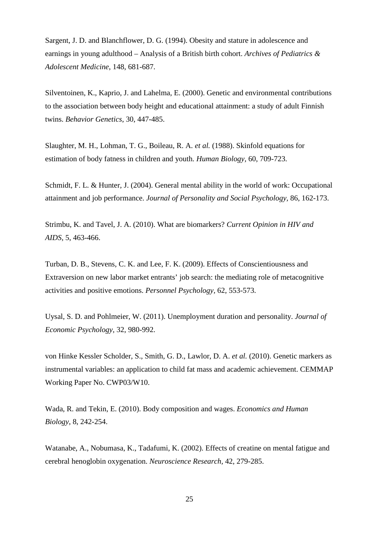Sargent, J. D. and Blanchflower, D. G. (1994). Obesity and stature in adolescence and earnings in young adulthood – Analysis of a British birth cohort. *Archives of Pediatrics & Adolescent Medicine*, 148, 681-687.

Silventoinen, K., Kaprio, J. and Lahelma, E. (2000). Genetic and environmental contributions to the association between body height and educational attainment: a study of adult Finnish twins. *Behavior Genetics*, 30, 447-485.

Slaughter, M. H., Lohman, T. G., Boileau, R. A. *et al.* (1988). Skinfold equations for estimation of body fatness in children and youth. *Human Biology,* 60, 709-723.

Schmidt, F. L. & Hunter, J. (2004). General mental ability in the world of work: Occupational attainment and job performance. *Journal of Personality and Social Psychology,* 86, 162-173.

Strimbu, K. and Tavel, J. A. (2010). What are biomarkers? *Current Opinion in HIV and AIDS,* 5, 463-466.

Turban, D. B., Stevens, C. K. and Lee, F. K. (2009). Effects of Conscientiousness and Extraversion on new labor market entrants' job search: the mediating role of metacognitive activities and positive emotions. *Personnel Psychology,* 62, 553-573.

Uysal, S. D. and Pohlmeier, W. (2011). Unemployment duration and personality. *Journal of Economic Psychology,* 32, 980-992.

von Hinke Kessler Scholder, S., Smith, G. D., Lawlor, D. A. *et al.* (2010). Genetic markers as instrumental variables: an application to child fat mass and academic achievement. CEMMAP Working Paper No. CWP03/W10.

Wada, R. and Tekin, E. (2010). Body composition and wages. *Economics and Human Biology*, 8, 242-254.

Watanabe, A., Nobumasa, K., Tadafumi, K. (2002). Effects of creatine on mental fatigue and cerebral henoglobin oxygenation. *Neuroscience Research,* 42, 279-285.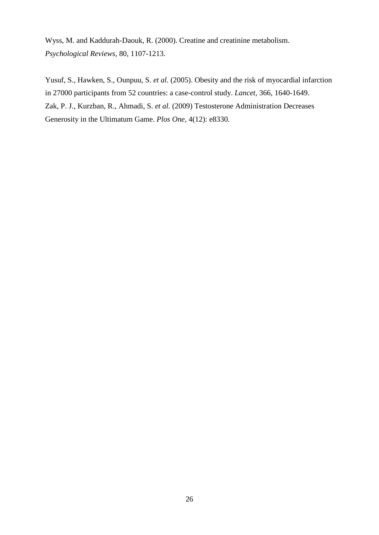Wyss, M. and Kaddurah-Daouk, R. (2000). Creatine and creatinine metabolism. *Psychological Reviews*, 80, 1107-1213.

[Yusuf, S.](http://www.ncbi.nlm.nih.gov/sites/entrez?Db=pubmed&Cmd=Search&Term=%22Yusuf%20S%22%5BAuthor%5D&itool=EntrezSystem2.PEntrez.Pubmed.Pubmed_ResultsPanel.Pubmed_DiscoveryPanel.Pubmed_RVAbstractPlus), [Hawken, S.](http://www.ncbi.nlm.nih.gov/sites/entrez?Db=pubmed&Cmd=Search&Term=%22Hawken%20S%22%5BAuthor%5D&itool=EntrezSystem2.PEntrez.Pubmed.Pubmed_ResultsPanel.Pubmed_DiscoveryPanel.Pubmed_RVAbstractPlus), [Ounpuu, S.](http://www.ncbi.nlm.nih.gov/sites/entrez?Db=pubmed&Cmd=Search&Term=%22Ounpuu%20S%22%5BAuthor%5D&itool=EntrezSystem2.PEntrez.Pubmed.Pubmed_ResultsPanel.Pubmed_DiscoveryPanel.Pubmed_RVAbstractPlus) *et al.* (2005). Obesity and the risk of myocardial infarction in 27000 participants from 52 countries: a case-control study. *Lancet,* 366, 1640-1649. Zak, P. J., Kurzban, R., Ahmadi, S. *et al.* (2009) Testosterone Administration Decreases Generosity in the Ultimatum Game. *Plos One,* 4(12): e8330.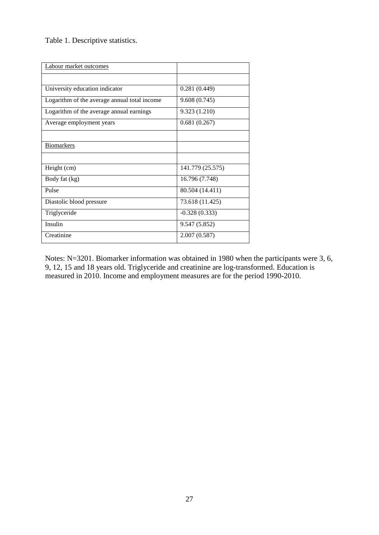Table 1. Descriptive statistics.

| Labour market outcomes                       |                  |
|----------------------------------------------|------------------|
|                                              |                  |
| University education indicator               | 0.281(0.449)     |
| Logarithm of the average annual total income | 9.608 (0.745)    |
| Logarithm of the average annual earnings     | 9.323 (1.210)    |
| Average employment years                     | 0.681(0.267)     |
|                                              |                  |
| <b>Biomarkers</b>                            |                  |
|                                              |                  |
| Height (cm)                                  | 141.779 (25.575) |
| Body fat (kg)                                | 16.796 (7.748)   |
| Pulse                                        | 80.504 (14.411)  |
| Diastolic blood pressure                     | 73.618 (11.425)  |
| Triglyceride                                 | $-0.328(0.333)$  |
| Insulin                                      | 9.547 (5.852)    |
| Creatinine                                   | 2.007(0.587)     |

Notes: N=3201. Biomarker information was obtained in 1980 when the participants were 3, 6, 9, 12, 15 and 18 years old. Triglyceride and creatinine are log-transformed. Education is measured in 2010. Income and employment measures are for the period 1990-2010.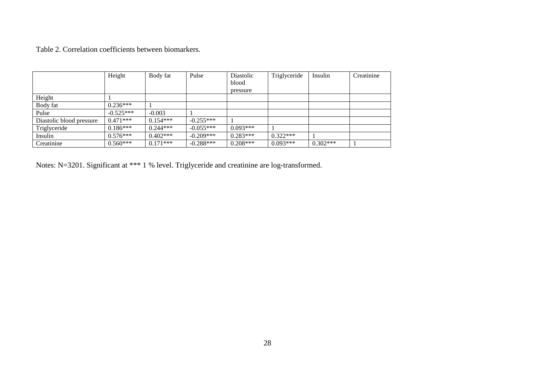Table 2. Correlation coefficients between biomarkers.

|                          | Height      | Body fat   | Pulse       | Diastolic  | Triglyceride | Insulin    | Creatinine |
|--------------------------|-------------|------------|-------------|------------|--------------|------------|------------|
|                          |             |            |             | blood      |              |            |            |
|                          |             |            |             | pressure   |              |            |            |
| Height                   |             |            |             |            |              |            |            |
| Body fat                 | $0.236***$  |            |             |            |              |            |            |
| Pulse                    | $-0.525***$ | $-0.003$   |             |            |              |            |            |
| Diastolic blood pressure | $0.471***$  | $0.154***$ | $-0.255***$ |            |              |            |            |
| Triglyceride             | $0.186***$  | $0.244***$ | $-0.055***$ | $0.093***$ |              |            |            |
| Insulin                  | $0.576***$  | $0.402***$ | $-0.209***$ | $0.283***$ | $0.322***$   |            |            |
| Creatinine               | $0.560***$  | $0.171***$ | $-0.288***$ | $0.208***$ | $0.093***$   | $0.302***$ |            |

Notes: N=3201. Significant at \*\*\* 1 % level. Triglyceride and creatinine are log-transformed.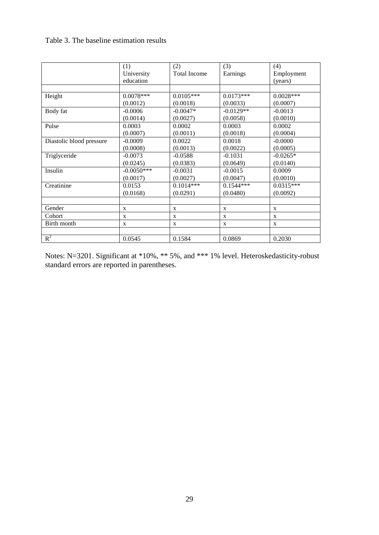#### Table 3. The baseline estimation results

|                          | (1)          | (2)          | (3)          | (4)          |
|--------------------------|--------------|--------------|--------------|--------------|
|                          | University   | Total Income | Earnings     | Employment   |
|                          | education    |              |              | (years)      |
|                          |              |              |              |              |
| Height                   | $0.0078***$  | $0.0105***$  | $0.0173***$  | $0.0028***$  |
|                          | (0.0012)     | (0.0018)     | (0.0033)     | (0.0007)     |
| Body fat                 | $-0.0006$    | $-0.0047*$   | $-0.0129**$  | $-0.0013$    |
|                          | (0.0014)     | (0.0027)     | (0.0058)     | (0.0010)     |
| Pulse                    | 0.0003       | 0.0002       | 0.0003       | 0.0002       |
|                          | (0.0007)     | (0.0011)     | (0.0018)     | (0.0004)     |
| Diastolic blood pressure | $-0.0009$    | 0.0022       | 0.0018       | $-0.0000$    |
|                          | (0.0008)     | (0.0013)     | (0.0022)     | (0.0005)     |
| Triglyceride             | $-0.0073$    | $-0.0588$    | $-0.1031$    | $-0.0265*$   |
|                          | (0.0245)     | (0.0383)     | (0.0649)     | (0.0140)     |
| Insulin                  | $-0.0050***$ | $-0.0031$    | $-0.0015$    | 0.0009       |
|                          | (0.0017)     | (0.0027)     | (0.0047)     | (0.0010)     |
| Creatinine               | 0.0153       | $0.1014***$  | $0.1544***$  | $0.0315***$  |
|                          | (0.0168)     | (0.0291)     | (0.0480)     | (0.0092)     |
|                          |              |              |              |              |
| Gender                   | X            | $\mathbf{X}$ | X            | X            |
| Cohort                   | X            | $\mathbf{X}$ | $\mathbf{x}$ | $\mathbf{x}$ |
| Birth month              | X            | X            | X            | X            |
|                          |              |              |              |              |
| $R^2$                    | 0.0545       | 0.1584       | 0.0869       | 0.2030       |

Notes: N=3201. Significant at \*10%, \*\* 5%, and \*\*\* 1% level. Heteroskedasticity-robust standard errors are reported in parentheses.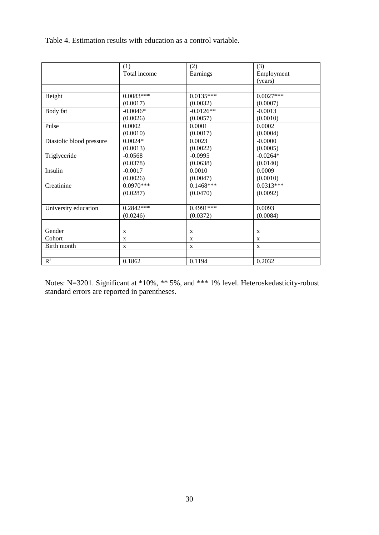Table 4. Estimation results with education as a control variable.

|                          | (1)          | (2)          | (3)         |
|--------------------------|--------------|--------------|-------------|
|                          | Total income | Earnings     | Employment  |
|                          |              |              | (years)     |
|                          |              |              |             |
| Height                   | $0.0083***$  | $0.0135***$  | $0.0027***$ |
|                          | (0.0017)     | (0.0032)     | (0.0007)    |
| Body fat                 | $-0.0046*$   | $-0.0126**$  | $-0.0013$   |
|                          | (0.0026)     | (0.0057)     | (0.0010)    |
| Pulse                    | 0.0002       | 0.0001       | 0.0002      |
|                          | (0.0010)     | (0.0017)     | (0.0004)    |
| Diastolic blood pressure | $0.0024*$    | 0.0023       | $-0.0000$   |
|                          | (0.0013)     | (0.0022)     | (0.0005)    |
| Triglyceride             | $-0.0568$    | $-0.0995$    | $-0.0264*$  |
|                          | (0.0378)     | (0.0638)     | (0.0140)    |
| Insulin                  | $-0.0017$    | 0.0010       | 0.0009      |
|                          | (0.0026)     | (0.0047)     | (0.0010)    |
| Creatinine               | $0.0970***$  | $0.1468***$  | $0.0313***$ |
|                          | (0.0287)     | (0.0470)     | (0.0092)    |
|                          |              |              |             |
| University education     | $0.2842***$  | $0.4991***$  | 0.0093      |
|                          | (0.0246)     | (0.0372)     | (0.0084)    |
|                          |              |              |             |
| Gender                   | X            | $\mathbf{X}$ | X           |
| Cohort                   | X            | $\mathbf X$  | X           |
| Birth month              | X            | X            | X           |
|                          |              |              |             |
| $R^2$                    | 0.1862       | 0.1194       | 0.2032      |

Notes: N=3201. Significant at \*10%, \*\* 5%, and \*\*\* 1% level. Heteroskedasticity-robust standard errors are reported in parentheses.